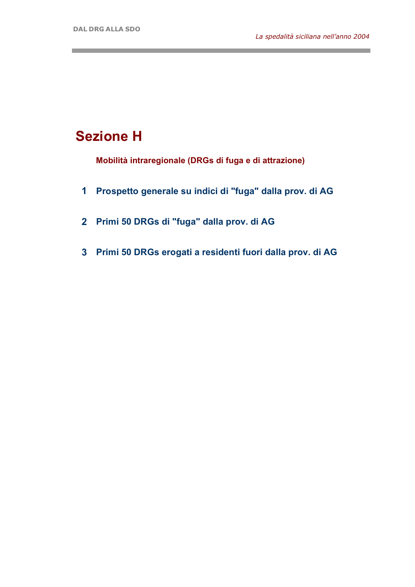and the control of the control of the

## **Sezione H**

**Mobilità intraregionale (DRGs di fuga e di attrazione)**

- **1 Prospetto generale su indici di "fuga" dalla prov. di AG**
- **2 Primi 50 DRGs di "fuga" dalla prov. di AG**
- **3 Primi 50 DRGs erogati a residenti fuori dalla prov. di AG**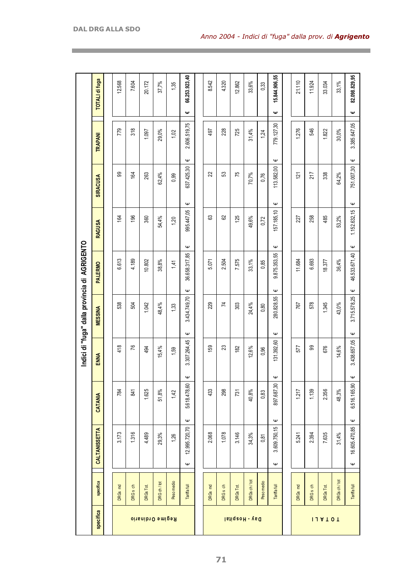|                                               | TOTALI di fuga       | 12.568         | 7.604               | 20.172    | 37,7%                   | 1,35       | 66.253.923,40                      | 8.542   | 4.320               | 12.862         | 33,6%       | 0,33       | 15.844.906,55          | 21.110  | 11.924              | 33.034                     | 33, 1%      | 82.098.829,95           |
|-----------------------------------------------|----------------------|----------------|---------------------|-----------|-------------------------|------------|------------------------------------|---------|---------------------|----------------|-------------|------------|------------------------|---------|---------------------|----------------------------|-------------|-------------------------|
|                                               |                      |                |                     |           |                         |            | Ψ                                  |         |                     |                |             |            | Ψ                      |         |                     |                            |             | Ψ                       |
|                                               | TRAPANI              | 779            | 318                 | 1.097     | 29,0%                   | 1,02       | 2.606.519,75                       | 497     | 228                 | 725            | 31,4%       | 1,24       | 779.127,30             | 1.276   | 546                 | 1.822                      | 30,0%       | 3.385.647,05            |
|                                               | SIRACUSA             | 99             | 164                 | 263       | 62,4%                   | 0,99       | Ψ<br>637.425,30                    | 22      | 53                  | 75             | 70,7%       | 0,76       | Ψ<br>113.582,00        | 121     | 217                 | 338                        | 64,2%       | Ψ<br>751.007,30         |
|                                               | <b>RAGUSA</b>        | $\overline{6}$ | 196                 | 360       | 54,4%                   | 1,20       | Ψ<br>995.447,05                    | යි      | 62                  | 125            | 49,6%       | 0,72       | Ψ<br>157.185,10        | 227     | 258                 | 485                        | 53,2%       | Ψ<br>1.152.632,15       |
|                                               | <b>PALERMO</b>       | 6.613          | 4.189               | 10.802    | 38,8%                   | 1,41       | Ψ<br>36.658.317,85                 | 5.071   | 2.504               | 7.575          | 33,1%       | 0,85       | Ψ<br>9.875.353,55      | 11.684  | 6.693               | 18.377                     | 36,4%       | Ψ<br>46.533.671,40      |
| Indici di "fuga" dalla provincia di AGRIGENTO | <b>MESSINA</b>       | 538            | 504                 | 1.042     | 48,4%                   | 1,33       | Ψ<br>3.434.749,70<br>Ψ             | 229     | 74                  | 303            | 24,4%       | 0,80       | Ψ<br>280.828,55<br>Ψ   | 767     | 578                 | 1.345                      | 43,0%       | Ψ<br>3.715.578,25<br>Ψ  |
|                                               | ENNA                 | 418            | 76                  | 494       | 15,4%                   | 1,59       | 3.307.264,45                       | 159     | 23                  | 182            | 12,6%       | 0,96       | 131.392,60             | 577     | 99                  | 676                        | 14,6%       | 3.438.657,05            |
|                                               | CATANIA              | 784            | 841                 | 1.625     | 51,8%                   | 1,42       | Ψ<br>5.618.478,60                  | 433     | 298                 | 731            | 40,8%       | 0,83       | Ψ<br>897.687,30        | 1.217   | 1.139               | 2.356                      | 48,3%       | Ψ<br>6.516.165,90       |
|                                               | <b>CALTANISSETTA</b> | 3.173          | 1.316               | 4.489     | 29,3%                   | 1,26       | Ψ<br>12.995.720,70<br>$\pmb{\psi}$ | 2.068   | 1.078               | 3.146          | 34,3%       | 0,81       | Ψ<br>3.609.750,15<br>Ψ | 5.241   | 2.394               | 7.635                      | 31,4%       | Ψ<br>16.605.470,85<br>Ψ |
|                                               | specifica            | DRGs md        | DRG <sub>s</sub> ch | DRGs Tot. | DRG ch / tot            | Peso medio | Tariffa full                       | DRGs md | DRG <sub>s</sub> ch | DRGs Tot.      | DRGs ch/tot | Peso medio | Tariffa full           |         |                     |                            | DRGs ch/tot | Tariffa full            |
|                                               | specifica            |                |                     |           | <b>Regime Ordinario</b> |            |                                    |         |                     | Day - Hospital |             |            |                        | DRGs md | DRG <sub>s</sub> ch | DRGs Tot.<br><b>IJAT0T</b> |             |                         |

and the control of the control of the control of the control of the control of the control of the control of the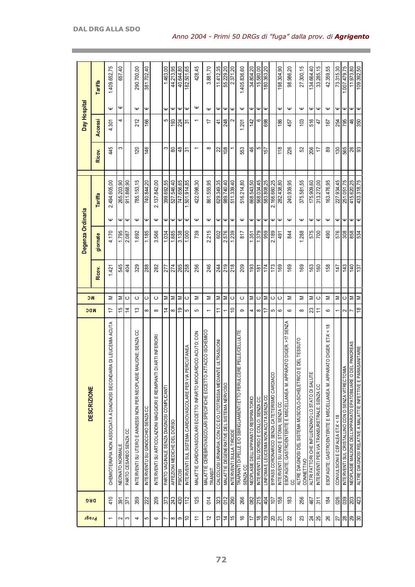| Progr                    | <b>DRG</b>       | <b>DESCRIZIONE</b>                                                                 | <b>NC</b><br><b>NDC</b>  |                  | Degenza Ordinaria |                  |              |                | Day Hospital   |                  |                       |
|--------------------------|------------------|------------------------------------------------------------------------------------|--------------------------|------------------|-------------------|------------------|--------------|----------------|----------------|------------------|-----------------------|
|                          |                  |                                                                                    |                          | Ricov.           | giornate          |                  | Tariffa      | Ricov.         | <b>Accessi</b> |                  | Tariffa               |
| $\overline{\phantom{0}}$ | 410              | RIA DI LEUCEMIA ACUTA<br>CHEMIOTERAPIA NON ASSOCIATA A DIAGNOSI SECONDAI           | Σ<br>17                  | 1.421            | 4.170             | Ψ                | 2.494.605,00 | 445            | 4.301          | Ψ                | 1.409.652,75          |
| $\sim$                   | $\frac{5}{2}$    | NEONATO NORMALE                                                                    | Σ<br>15                  | 545              | 1.795             | Ψ                | 265.203,90   | S              | 4              | Ψ                | 657,40                |
| S                        | $\overline{37}$  | PARTO CESAREO SENZA CC                                                             | ပ<br>$\overline{4}$      | 404              | 2.087             | $\mathsf \omega$ | 911.868,90   |                |                |                  |                       |
| 4                        | 359              | MALIGNE; SENZA CC<br>NTERVENTI SU UTERO E ANNESSI NON PER NEOPLASIE M              | $\circ$<br>$\tilde{c}$   | 329              | 1.692             | $\mathsf \Psi$   | 785.153,15   | 120            | 212            | Ψ                | 290.700,00            |
| 5                        | 222              | INTERVENTU SU GINOCCHIO SENZA CC                                                   | ပ<br>$\infty$            | 288              | 1.185             | Ψ                | 740.844.20   | 146            | 166            | Ψ                | 381.702,40            |
| 6                        | 209              | <b>DI ARTI INFERIORI</b><br>INTERVENTI SU ARTICOLAZIONI MAGGIORI E REIMPIANTI      | ပ<br>$\infty$            | 282              | 3.566             | Ψ                | 2.137.842,00 |                |                |                  |                       |
| r.                       | 373              | PARTO VAGINALE SENZA DIAGNOSI COMPLICANTI                                          | Σ<br>4                   | 277              | 1.034             | Ψ                | 399.692.55   | က              | 5              | Ψ                | 1.463,00              |
| $\infty$                 | 243              | AFFEZIONI MEDICHE DEL DORSO                                                        | Σ<br>$\infty$            | 274              | 1.685             | $\mathsf \omega$ | 527.546,40   | 8              | 193            | Ψ                | 44.213,95             |
| თ                        | 430              | PSICOSI                                                                            | Σ<br>$\overline{9}$      | $\frac{85}{258}$ | 3.138             | Ψ                | 747.656,65   | $\frac{8}{4}$  | 224            | Ψ                | 40.644,80             |
| ∣≘                       | 112              | INTERVENTI SUL SISTEMA CARDIOVASCOLARE PER VIA PERCUTANEA                          | ပ<br>မာ                  |                  | 1.000             | Ψ                | 501.914,85   | $\overline{5}$ | $\overline{3}$ | $\mathsf \omega$ | $\frac{82.501,65}{5}$ |
| $\overline{a}$           | 125              | MALATTIE CARDIOVASCOLARI ECCETTO INFARTO MIOCARDICO ACUTO; CON                     | Σ<br>5                   | 256              | 739               | $\mathsf \Psi$   | 422.098,30   |                |                | Ψ                | 428,45                |
| 57                       | 014              | MALATTIE CEREBROVASCOLARI SPECIFICHE ECCETTO ATTACCO ISCHEMICO<br>TRANSIT          | Σ<br>$\overline{ }$      | 246              | 2.215             | $\mathsf \omega$ | 861.555,95   | $\infty$       | 17             | $\mathsf \Psi$   | 3.881,70              |
| $\tilde{c}$              | 323              | E ULTRASUON<br>CALCOLOSI URINARIA; CON CC E/O LITOTRISSIA MEDIANT                  | Σ<br>Ξ                   | 244              | 602               | Ψ                | 629.349,35   | 22             | 4              | Ψ                | 11.412,35             |
| $\overline{4}$           | 012              | MALATTIE DEGENERATIVE DEL SISTEMA NERVOSO                                          | Σ                        | 219              | 2.576             | Ψ                | 989.740,40   | 108            | 248            | Ψ                | 55.229,20             |
| 15                       | 290              | INTERVENTI SULLA TIROIDE                                                           | $\circ$<br>$\Rightarrow$ | 218              | 1.239             | $\mathsf \omega$ | 511.339,40   |                |                | $\mathsf \Psi$   | 2.371,20              |
| 9                        | 266              | EPELLE/CELLULITE<br>TRAPIANTI DI PELLE E/O SBRIGLIAMENTI ETTO PERULCER<br>SENZA CC | ပ<br>ၜ                   | 209              | 817               | Ψ                | 516.214,80   | 553            | 1.201          | Ψ                | 1.405.836,60          |
| 17                       | 082              | NEOPLASIE DELL'APPARATO RESPIRATORIO                                               | Σ<br>4                   | 193              | 1.351             | Ψ                | 668.543,50   | $\frac{4}{6}$  | 142            | Ψ                | 34.804,20             |
| $\frac{8}{2}$            | 215              | INTERVENTI SU DORSO E COLLO; SENZA CC                                              | ပ<br>$\infty$            | 181              | 1.379             | Ψ                | 568.034,45   | 5              | ဖ              | Ψ                | 15.580,00             |
| $\overline{9}$           | 404              | LINFOMA E LEUCEMIA NON ACUTA SENZA CC                                              | Σ<br>17                  | 174              | 959               | $\mathsf \Psi$   | 583.808,25   | 157            | 698            | Ψ                | 180.363,20            |
| $\mathbb{S}^2$           | 107              | BYPASS CORONARICO SENZA CATETERISMO CARDIACO                                       | ပ<br>5                   | 173              | 2.189             | Ψ                | 2.166.660,25 |                |                |                  |                       |
| $\overline{z}$           | 158              | INTERVENTI SU ANO E STOMA; SENZA CC                                                | ပ<br>$\circ$             | 169              | 491               | Ψ                | 282.438,80   | 118            | 186            | Ψ                | 198.304,90            |
| ଅ                        | $\frac{83}{2}$   | ESOFAGITE; GASTROENTERITE E MISCELLANEA M. APPARATO DIGER. >17 SENZA<br>ပ          | Σ<br>$\circ$             | 169              | 844               | $\mathsf \omega$ | 240.939,95   | 226            | 457            | $\mathsf \Psi$   | 98.986,20             |
| 23                       | 256              | E DEL TESSUTO<br>ALTRE DIAGNOSI DEL SISTEMA MUSCOLO-SCHELETRICO<br>CONNETTIVO      | Σ<br>$\infty$            | 169              | 1.288             | Ψ                | 375.581,55   | 52             | 103            | Ψ                | 27.300,15             |
|                          | 467              | ALTRI FATTORI CHE INFLUENZANO LO STATO DI SALUTE                                   | Σ<br>23                  | 163              | 575               | Ψ                | 175.909.60   | 206            | 516            | Ψ                | 134.664,40            |
| ಸ $\frac{1}{2}$          | 311              | INTERVENTI PER VIA TRANSURETRALE; SENZA CC                                         | ပ<br>Ξ                   | 160              | 700               | Ψ                | 313.272.00   | 17             | 47             | Ψ                | 33.285,15             |
| 26                       | $\frac{1}{8}$    | ESOFAGITE; GASTROENTERITE E MISCELLANEA M. APPARATO DIGER. ETA'<18                 | Σ<br>ဇ                   | 158              | 490               | Ψ                | 163.476,95   | 89             | 167            | Ψ                | 42.359,55             |
| $\overline{27}$          | 026              | CONVULSIONI E CEFALEA ETA' < 18                                                    | Σ<br>۰                   | 147              | 576               | Ψ                | 227.934,45   | 130            | 254            | Ψ                | 73.315,30             |
|                          | 039              | ⋖<br>INTERVENTI SUL CRISTALLINO CON O SENZA VITRECTOM                              | $\circ$<br>$\sim$        | 143              | 308               | $\pmb{\Psi}$     | 251.051,75   | 565            | $\sqrt{25}$    | Ψ                | 1.007.479,75          |
| ଞ୍ଜ ଞ୍ଜ                  | $\overline{203}$ | NEOPLASIE MALIGNE DELL'APPARATO EPATOBILIARE O DEL PANCREAS                        | Σ                        | 140              | 858               | Ψ                | 415.620,25   | $\frac{8}{3}$  | 46             | $\mathsf \Psi$   | 11.973,80             |
|                          | 423              | ALTRE DIAGNOSI RELATIVE A MALATTIE INFETTIVE E PARASANITARIE                       | Σ<br>$\frac{8}{1}$       | 137              | 534               | $\mathsf \Psi$   | 433.318.75   |                | 350            | ∣w               | $\frac{109.392,50}{$  |

the control of the control of the control of the control of

and the control of the control of the control of the control of the control of the control of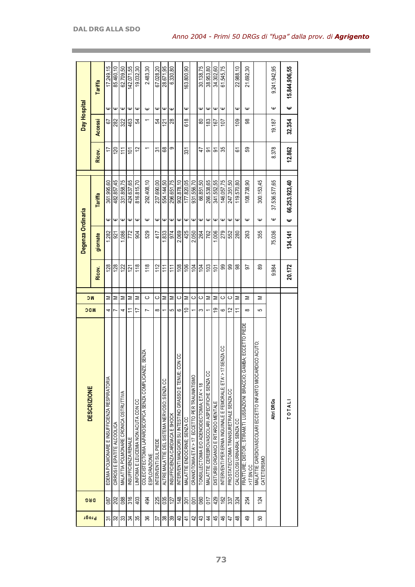| <b>Progr</b>   | <b>DRG</b>     | <b>DESCRIZIONE</b>                                                                 | <b>NDC</b>     | ЮC      |                 | Degenza Ordinaria |                  |               |                 | Day Hospital   |                  |               |
|----------------|----------------|------------------------------------------------------------------------------------|----------------|---------|-----------------|-------------------|------------------|---------------|-----------------|----------------|------------------|---------------|
|                |                |                                                                                    |                |         | Ricov.          | giornate          |                  | Tariffa       | Ricov.          | <b>Accessi</b> |                  | Tariffa       |
| 5              | 087            | EDEMA POLMONARE E INSUFFICIENZA RESPIRATORIA                                       | 4              | Σ       | 128             | 1.282             | Ψ                | 361.995,60    |                 | 5              | Ψ                | 17.249,15     |
| 32             | 202            | CIRROSI E EPATITE ALCOOLICA                                                        | r              | Σ       | 128             | 921               | Ψ                | 482.857,45    | 120             | 282            | Ψ                | 85.460,10     |
| 33             | 088            | MALATTIA POLMONARE CRONICA OSTRUTTIVA                                              | 4              | Σ       | 122             | 1.086             | Φ                | 331.858,75    | $\overline{11}$ | 322            | Φ                | 62.709,50     |
| 34             | 316            | INSUFFICIENZA RENALE                                                               | Ξ              | Σ       | 121             | 772               | Ψ                | 424.637.65    | $\Xi$           | 463            | Ψ                | 42.071.55     |
| 35             | 403            | LINFOMA E LEUCEMIA NON ACUTA CON CC                                                | 17             | Σ       | 118             | 804               | Ψ                | 816.815,70    | 12              | 54             | Ψ                | 19.032,30     |
| 86             | 494            | IE, SENZA<br>COLECISTECTOMIA LAPAROSCOPICA SENZA COMPLICAN<br><b>ESPLORAZIONE</b>  | $\overline{ }$ | ပ       | 118             | 529               | Ψ                | 292.408,10    |                 |                | Ψ                | 2.483,30      |
| 57             | 225            | INTERVENTI SUL PIEDE                                                               | $\infty$       | ပ       | 112             | 417               | Ψ                | 237.690,00    | స్              | 54             | Ψ                | 67.028.20     |
| $38\,$         | 035            | ALTRE MALATTIE DEL SISTEMA NERVOSO: SENZA CC                                       |                | Σ       | 11              | .833              | Φ                | 554.144,50    | 89              | 121            | Ψ                | 28.671,95     |
| 39             | 127            | INSUFFICIENZA CARDIACA E SHOCK                                                     | 5              | Σ       | $\overline{11}$ | 974               | Ψ                | 296.651.75    | တ               | 28             | Ψ                | 6.330,80      |
| $\overline{4}$ | 148            | CON CC<br>INTERVENTI MAGGIORI SU INTESTINO GRASSO E TENUE;                         | ဖ              | ပ       | 108             | 2.069             | Ψ                | 902.878.10    |                 |                |                  |               |
| 4              | 301            | MALATTIE ENDOCRINE; SENZA CC                                                       | S              | Σ       | 106             | 425               | Ψ                | 177.820,05    | ఔ               | 618            | Ψ                | 63.800,90     |
| 42             | $\overline{5}$ | CRANIOTOMIA ETA' > 17 ECCETTO PER TRAUMATISMO                                      | ۳              | $\circ$ | $\overline{a}$  | 2.050             | $\mathsf \omega$ | 931.556.70    |                 |                |                  |               |
| 43             | 060            | TONSILLECTOMIA E/O ADENOIDECTOMIA; ETA' < 18                                       | က              | ပ       | ŔД              | 264               | $\mathsf \omega$ | 66.851,50     | 47              | 80             | Ψ                | 30.138,75     |
| $\overline{4}$ | 017            | MALATTIE CEREBROVASCOLARI ASPECIFICHE SENZA CC                                     |                | Σ       | 103             | 762               | Ψ                | 266.538.65    | 5               | 183            | Ψ                | 38.953,80     |
| 45             | 429            | DISTURBI ORGANICI E RITARDO MENTALE                                                | é,             | Σ       | 101             | 1.006             | $\mathsf \Psi$   | 341.552,55    | వ్              | 167            | Ψ                | 34.302,60     |
| 46             | 162            | 7 SENZA CC<br>INTERVENTI PER ERNIA INGUINALE E FEMORALE; ETA' > 1                  | ဖ              | ပ       | 8               | 279               | Ψ                | 146.057.75    | 35              | 107            | $\mathsf \omega$ | 61.545,75     |
| 47             | 337            | PROSTATECTOMIA TRANSURET RALE SENZA CC                                             | $\overline{c}$ | ပ       | ஐ               | 552               | Ψ                | 247.351,50    |                 |                |                  |               |
| \$             | 324            | CALCOLOSI URINARIA; SENZA CC                                                       | $\overline{1}$ | Σ       | 88              | 280               | Ψ                | 119.570,80    | 6               | 109            | Ψ                | 22.988,10     |
| \$             | 254            | FRATTURE; DISTOR.; STIRAM.TI LUSSAZIONI BRACCIO; GAMBA; ECCETTO PIEDE<br>>17 SN CC | $\infty$       | ⋝       | ᡖ               | 263               | Ψ                | 108.738,90    | 59              | 8              | Ψ                | 21.692,30     |
| 50             | 124            | RDICO ACUTO<br>MALATTIE CARDIOVASCOLARI ECCETTO INFARTO MIOCAI<br>CATETERISMO      | 5              | ⋝       | 89              | 355               | Ψ                | 300.153,45    |                 |                |                  |               |
|                |                | Altri DRGs                                                                         |                |         | 9.984           | 75.036            | Ψ                | 37.536.577,65 | 8.378           | 19.187         | Ψ                | 9.241.942,95  |
|                |                | <b>TOTAL</b>                                                                       |                |         | 20.172          | 134.141           | Ψ                | 66.253.923,40 | 12.862          | 32.354         | Ψ                | 15.844.906,55 |

and the control of the control of the control of the control of the control of the control of the control of the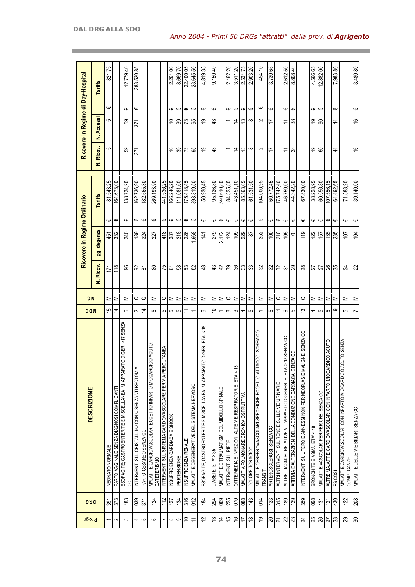| <b>Progr</b>               | <b>DRG</b>       | <b>DESCRIZIONE</b>                                                                  | <b>NDC</b>           | <b>NC</b> |                |                         | Ricovero in Regime Ordinario   |           |               | Ricovero in Regime di Day-Hospital |                  |            |
|----------------------------|------------------|-------------------------------------------------------------------------------------|----------------------|-----------|----------------|-------------------------|--------------------------------|-----------|---------------|------------------------------------|------------------|------------|
|                            |                  |                                                                                     |                      |           | N. Ricov.      | degenza<br>g            | Tariffa                        |           | N. Ricov.     | <b>N. Accessi</b>                  |                  | Tariffa    |
| $\overline{ }$             | 391              | NEONATO NORMALE                                                                     | 15                   | Σ         | 171            | 451                     | 81.543,25<br>Ψ                 |           | 5             | 5                                  | Ψ                | 821,75     |
| $\sim$                     | 373              | PARTO VAGINALE SENZA DIAGNOSI COMPLICANTI                                           | 4                    | Σ         | 118            | $\overline{\mathbb{3}}$ | 164.673,00<br>$\mathsf \omega$ |           |               |                                    |                  |            |
| S                          | $\frac{83}{2}$   | RATO DIGER. >17 SENZA<br>ESOFAGITE; GASTROENTERITE E MISCELLANEA M. APPAI<br>8      | $\circ$              | Σ         | 96             | 340                     | 138.734,20<br>$\mathsf \omega$ |           | 59            | සි                                 | $\mathsf \omega$ | 12.779,40  |
| 4                          | 039              | $\leq$<br>INTERVENTI SUL CRISTALLINO CON O SENZA VITRE CTOM                         | $\sim$               | ပ         | 92             | 189                     | 162.736,90<br>Ψ                |           | 371           | 571                                | Ψ                | 283.520,85 |
| 5                          | 371              | PARTO CESAREO SENZA CC                                                              | $\overline{4}$       | ပ         | 5              | 324                     | 182.565,30<br>$\mathsf \omega$ |           |               |                                    |                  |            |
| ဖ                          | 124              | <b>OLNO VOIDE</b><br>MALATTIE CARDIOVASCOLARI ECCETTO INFARTO MIOCAR<br>CATETERISMO | 5                    | Σ         | 80             | 227                     | 269.193,90<br>$\mathsf \omega$ |           |               |                                    |                  |            |
|                            | 112              | INTERVENTI SUL SISTEMA CARDIOVASCOLARE PER VIA PERCUTANEA                           | 5                    | ပ         | 75             | 418                     | 441.536,25<br>Ψ                |           |               |                                    |                  |            |
| $\infty$                   | $\overline{127}$ | IN SUFFICIENZA CARDIACA E SHOCK                                                     | $\mathbf{\Omega}$    | Σ         | 61             | 387                     | 166.246,20<br>$\mathsf \Psi$   |           | $\tilde{=}$   | ₽                                  | Ψ                | 2.261.00   |
| တ                          | 134              | <b>PERTENSIONE</b>                                                                  | 5                    | ∣≅        | 58             | 218                     | 111.081,60<br>$\mathsf \Psi$   |           | ခြွ           | န္က                                | $\mathsf \omega$ | 8.669.70   |
| $\tilde{=}$                | 316              | INSUFFICIENZA RENALE                                                                | $\rightleftharpoons$ | Σ         | 53             | 226                     | 175.418,45<br>$\mathsf \omega$ |           | 73            | ಌ                                  | $\omega$         | 22.400,05  |
| $\overline{1}$             | 012              | MALATTIE DEGENERATIVE DEL SISTEMA NERVOSO                                           | $\overline{ }$       | Σ         | 52             | 668                     | 398.819,50<br>$\mathsf \omega$ |           | 95            | 99                                 | $\mathsf \Psi$   | 23.645,50  |
| 12                         | 184              | ETA < 18<br>ESOFAGITE; GASTROENTERITE E MISCELLANEA M. APPARATO DIGER.              | $\circ$              | Σ         | $\frac{8}{4}$  | 141                     | $\mathsf \omega$               | 50.930,45 | é,            | စ္                                 | $\mathsf \omega$ | 4.819,35   |
| $\tilde{c}$                | 294              | DIABETE ETA'> 35                                                                    | ₽                    | Σ         | 43             | 279                     | 95.136,80<br>$\mathsf \omega$  |           | 43            | ਼ਿ                                 | $\mathsf \omega$ | 9.150,40   |
| $\overline{4}$             | 009              | MALATTIE E TRAUMATISMI DEL MIDOLLO SPINALE                                          |                      | Σ         | 42             | 2.172                   | 540.610,80<br>Ψ                |           |               |                                    |                  |            |
| 15                         | 225              | INTERVENTI SUL PIEDE                                                                | $\infty$             | ပ         | 39             | 124                     | 84.325,80<br>Ψ                 |           |               |                                    | Ψ                | 2.162,20   |
| $\frac{6}{5}$              | 070              | $\frac{8}{1}$<br>OTITE MEDIA E INFEZIONI ALTE VIE RESPIRATORIE; ETA <               | S                    | Σ         | 36             | 109                     | Ψ                              | 43.451,10 | 4             | 4                                  | Ψ                | 3.511,20   |
| 17                         | 088              | MALATTIA POLMONARE CRONICA OSTRUTTIVA                                               | 4                    | Σ         | ္က             | 229                     | $\mathsf \Psi$                 | 85.563,65 | $\tilde{c}$   | చ                                  | $\mathsf \Psi$   | 2.531.75   |
| ₽                          | 143              | DOLORE TORACICO                                                                     | 5                    | Σ         | 33             | 87                      | 61.531,50<br>Ψ                 |           | ∞             | ∞                                  | $\mathbf{\Psi}$  | 2.903,20   |
| é,                         | 014              | TACCO ISCHEMICO<br>MALATTIE CEREBROVASCOLARI SPECIFICHE ECCETTO AT<br>TRANSIT       |                      | Σ         | S2             | 252                     | 104.006,95<br>$\mathsf \omega$ |           | $\sim$        | $\sim$                             | Ψ                | 454,10     |
| $\approx$                  | 133              | ARTEROSCLEROSI; SENZA CC                                                            | 5                    | Σ         | 32             | 100                     | 60.772,45<br>Ψ                 |           | 17            | 17                                 | Ψ                | 3.730,65   |
| $\overline{2}$             | 315              | ALTRI INTERVENTI SUL RENE E SULLE VIE URINARIE                                      | ≂                    | $\circ$   | 32             | 210                     | 175.742,40<br>Ψ                |           |               |                                    |                  |            |
| ಜ                          | 189              | A > 17 SENZA CC<br>ALTRE DIAGNOSI RELATIVE ALL'APPARTO DIGERENTE; ET                | ဖ                    | Σ         | $\overline{5}$ | 105                     | 46.759,00<br>Ψ                 |           | Ξ             | $\tilde{=}$                        | Ψ                | 2.612,50   |
| $ \mathfrak{z}$            | 139              | SENZA CC<br>ARITMIA E ALTERAZIONI DELLA CONDUZIONE CARDIACA;                        | 5                    | Σ         | 29             | 70                      | $\mathsf \omega$               | 44.342,20 | 38            | 88                                 | $\mathsf \omega$ | 8.808,40   |
| 24                         | 359              | INTERVENTI SU UTERO E ANNESSI NON PER NEOPLASIE MALIGNE; SENZA CC                   | ≌                    | ပ         | 28             | 119                     | Ψ                              | 67.830,00 |               |                                    |                  |            |
| 25                         | 098              | BRONCHITE E ASMA; ETA < 18                                                          | 4                    | Σ         | 27             | 122                     | Ψ                              | 38.228,95 | ć,            | 6Ļ                                 | ₩                | 4.566,65   |
| $\overline{\mathcal{S}}$   | 131              | MALATTIE VASCOLARI PERIFERICHE; SENZA CC                                            | 5                    | Σ         | $\overline{z}$ | $\sqrt{57}$             | 60.556,80<br>$\mathsf \Psi$    |           | 8             | ටි                                 | $\mathsf \omega$ | 12.882,00  |
| 27                         | 121              | ALTRE MALATTIE CARDIOVASCOLARI CON INFARTO MIOCARDICO ACUTO                         | 5                    | Σ         | $\frac{8}{3}$  | 135                     | 107.556,15<br>Ψ                |           |               |                                    |                  |            |
| ಇ                          | 430              | PSICOSI                                                                             | ഇ                    | Σ         | $\overline{5}$ | 235                     | $\mathbf \omega$               | 64.492,65 | 4             | \$                                 | Ψ                | 7.983,80   |
| 29                         | 122              | MALATTIE CARDIOVASCOLARI CON INFARTO MIOCARDICO ACUTO SENZA<br>COMPLICANZE          | 5                    | Σ         | 24             | 107                     | Ψ                              | 71.588,20 |               |                                    |                  |            |
| $\boldsymbol{\mathcal{S}}$ | 208              | MALATTIE DELLE VIE BILIARI; SENZA CC                                                | N                    | Σ         | 22             | 104                     | 39.140,00<br>$\mathsf \omega$  |           | $\frac{6}{5}$ | 9                                  | Ψ                | 3.480,80   |
|                            |                  |                                                                                     |                      |           |                |                         |                                |           |               |                                    |                  |            |

the control of the control of the control of the control of the control of the control of the control of the control of the control of the control of the control of the control of the control of the control of the control